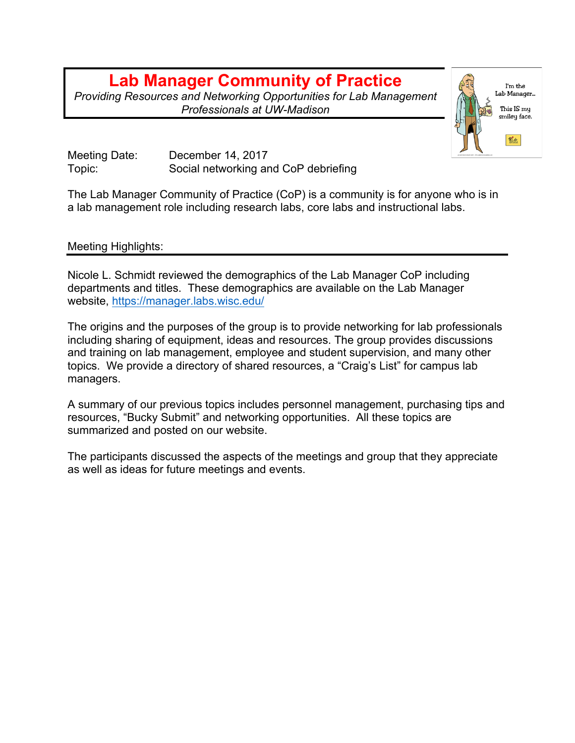## **Lab Manager Community of Practice**

*Providing Resources and Networking Opportunities for Lab Management Professionals at UW-Madison*



Meeting Date: December 14, 2017 Topic: Social networking and CoP debriefing

The Lab Manager Community of Practice (CoP) is a community is for anyone who is in a lab management role including research labs, core labs and instructional labs.

## Meeting Highlights:

Nicole L. Schmidt reviewed the demographics of the Lab Manager CoP including departments and titles. These demographics are available on the Lab Manager website, https://manager.labs.wisc.edu/

The origins and the purposes of the group is to provide networking for lab professionals including sharing of equipment, ideas and resources. The group provides discussions and training on lab management, employee and student supervision, and many other topics. We provide a directory of shared resources, a "Craig's List" for campus lab managers.

A summary of our previous topics includes personnel management, purchasing tips and resources, "Bucky Submit" and networking opportunities. All these topics are summarized and posted on our website.

The participants discussed the aspects of the meetings and group that they appreciate as well as ideas for future meetings and events.